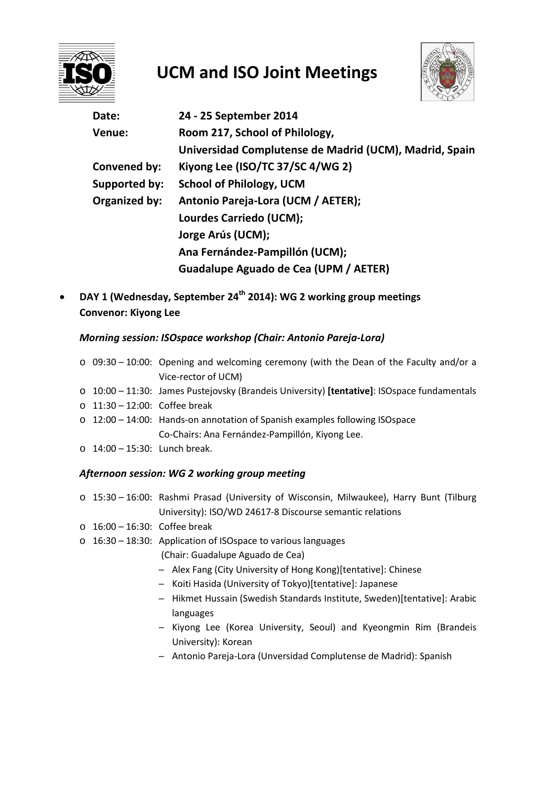

# **UCM and ISO Joint Meetings**



| Date:         | 24 - 25 September 2014                                 |
|---------------|--------------------------------------------------------|
| Venue:        | Room 217, School of Philology,                         |
|               | Universidad Complutense de Madrid (UCM), Madrid, Spain |
| Convened by:  | Kiyong Lee (ISO/TC 37/SC 4/WG 2)                       |
| Supported by: | <b>School of Philology, UCM</b>                        |
| Organized by: | Antonio Pareja-Lora (UCM / AETER);                     |
|               | Lourdes Carriedo (UCM);                                |
|               | Jorge Arús (UCM);                                      |
|               | Ana Fernández-Pampillón (UCM);                         |
|               | Guadalupe Aguado de Cea (UPM / AETER)                  |

• **DAY 1 (Wednesday, September 24th 2014): WG 2 working group meetings Convenor: Kiyong Lee**

### *Morning session: ISOspace workshop (Chair: Antonio Pareja-Lora)*

- o 09:30 10:00: Opening and welcoming ceremony (with the Dean of the Faculty and/or a Vice-rector of UCM)
- o 10:00 11:30: James Pustejovsky (Brandeis University) **[tentative]**: ISOspace fundamentals
- o 11:30 12:00: Coffee break
- o 12:00 14:00: Hands-on annotation of Spanish examples following ISOspace Co-Chairs: Ana Fernández-Pampillón, Kiyong Lee.
- o 14:00 15:30: Lunch break.

#### *Afternoon session: WG 2 working group meeting*

- o 15:30 16:00: Rashmi Prasad (University of Wisconsin, Milwaukee), Harry Bunt (Tilburg University): ISO/WD 24617-8 Discourse semantic relations
- o 16:00 16:30: Coffee break
- o 16:30 18:30: Application of ISOspace to various languages
	- (Chair: Guadalupe Aguado de Cea)
	- ─ Alex Fang (City University of Hong Kong)[tentative]: Chinese
	- ─ Koiti Hasida (University of Tokyo)[tentative]: Japanese
	- ─ Hikmet Hussain (Swedish Standards Institute, Sweden)[tentative]: Arabic languages
	- ─ Kiyong Lee (Korea University, Seoul) and Kyeongmin Rim (Brandeis University): Korean
	- ─ Antonio Pareja-Lora (Unversidad Complutense de Madrid): Spanish